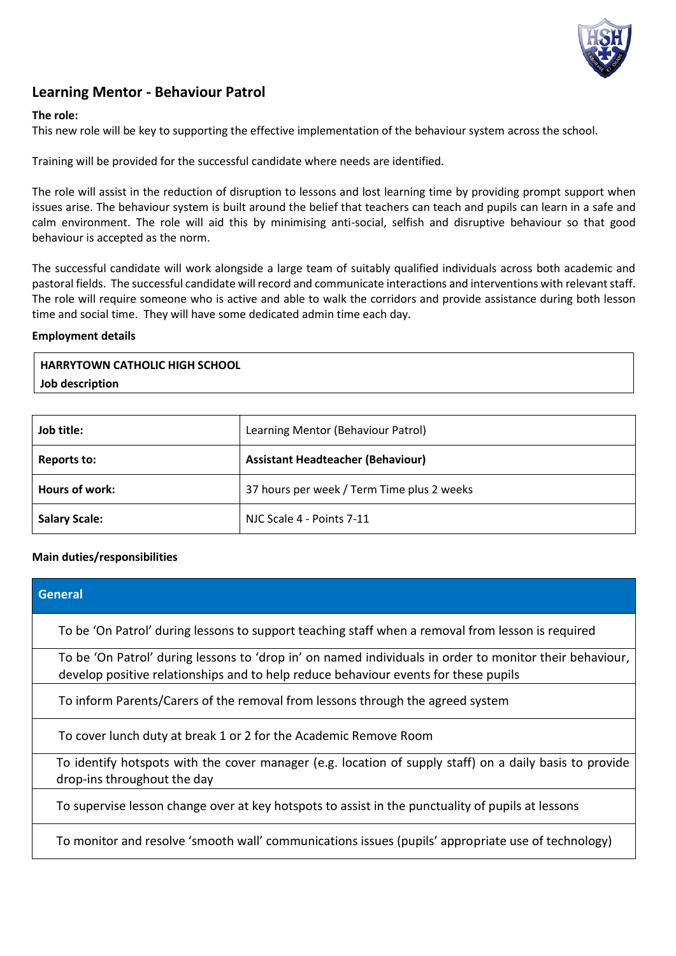

# **Learning Mentor - Behaviour Patrol**

## **The role:**

This new role will be key to supporting the effective implementation of the behaviour system across the school.

Training will be provided for the successful candidate where needs are identified.

The role will assist in the reduction of disruption to lessons and lost learning time by providing prompt support when issues arise. The behaviour system is built around the belief that teachers can teach and pupils can learn in a safe and calm environment. The role will aid this by minimising anti-social, selfish and disruptive behaviour so that good behaviour is accepted as the norm.

The successful candidate will work alongside a large team of suitably qualified individuals across both academic and pastoral fields. The successful candidate will record and communicate interactions and interventions with relevant staff. The role will require someone who is active and able to walk the corridors and provide assistance during both lesson time and social time. They will have some dedicated admin time each day.

#### **Employment details**

**HARRYTOWN CATHOLIC HIGH SCHOOL Job description**

| Job title:           | Learning Mentor (Behaviour Patrol)         |
|----------------------|--------------------------------------------|
| Reports to:          | <b>Assistant Headteacher (Behaviour)</b>   |
| Hours of work:       | 37 hours per week / Term Time plus 2 weeks |
| <b>Salary Scale:</b> | NJC Scale 4 - Points 7-11                  |

### **Main duties/responsibilities**

| General                                                                                                                                                                                        |  |
|------------------------------------------------------------------------------------------------------------------------------------------------------------------------------------------------|--|
| To be 'On Patrol' during lessons to support teaching staff when a removal from lesson is required                                                                                              |  |
| To be 'On Patrol' during lessons to 'drop in' on named individuals in order to monitor their behaviour,<br>develop positive relationships and to help reduce behaviour events for these pupils |  |
| To inform Parents/Carers of the removal from lessons through the agreed system                                                                                                                 |  |
| To cover lunch duty at break 1 or 2 for the Academic Remove Room                                                                                                                               |  |
| To identify hotspots with the cover manager (e.g. location of supply staff) on a daily basis to provide<br>drop-ins throughout the day                                                         |  |
| To supervise lesson change over at key hotspots to assist in the punctuality of pupils at lessons                                                                                              |  |
| To monitor and resolve 'smooth wall' communications issues (pupils' appropriate use of technology)                                                                                             |  |